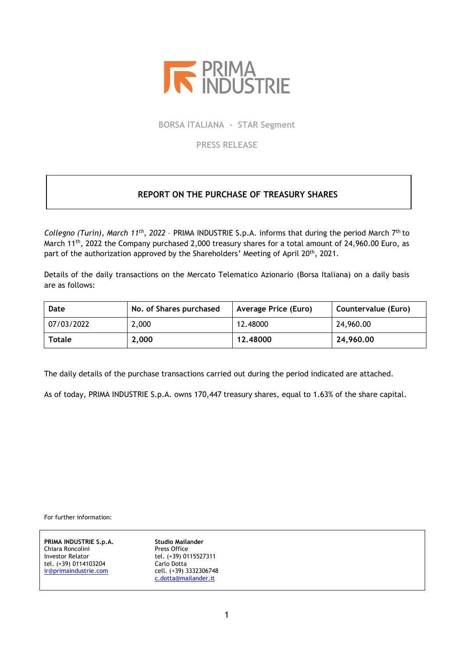

**BORSA ITALIANA - STAR Segment**

**PRESS RELEASE**

## **REPORT ON THE PURCHASE OF TREASURY SHARES**

Collegno (Turin), March 11<sup>th</sup>, 2022 - PRIMA INDUSTRIE S.p.A. informs that during the period March 7<sup>th</sup> to March 11<sup>th</sup>, 2022 the Company purchased 2,000 treasury shares for a total amount of 24,960.00 Euro, as part of the authorization approved by the Shareholders' Meeting of April 20<sup>th</sup>, 2021.

Details of the daily transactions on the Mercato Telematico Azionario (Borsa Italiana) on a daily basis are as follows:

| Date          | No. of Shares purchased | Average Price (Euro) | Countervalue (Euro) |
|---------------|-------------------------|----------------------|---------------------|
| 07/03/2022    | 2,000                   | 12.48000             | 24,960.00           |
| <b>Totale</b> | 2,000                   | 12.48000             | 24,960.00           |

The daily details of the purchase transactions carried out during the period indicated are attached.

As of today, PRIMA INDUSTRIE S.p.A. owns 170,447 treasury shares, equal to 1.63% of the share capital.

For further information:

**PRIMA INDUSTRIE S.p.A. Studio Mailander**<br> **Studio Mailander** Chiara Roncolini Chiara Roncolini<br>Investor Relator tel. (+39) 0114103204 Carlo Dotta<br>
ir@primaindustrie.com cell. (+39) 3332306748 [ir@primaindustrie.com](mailto:ir@primaindustrie.com)

Insector Rel. (+39) 0115527311<br>Carlo Dotta [c.dotta@mailander.it](mailto:c.dotta@mailander.it)